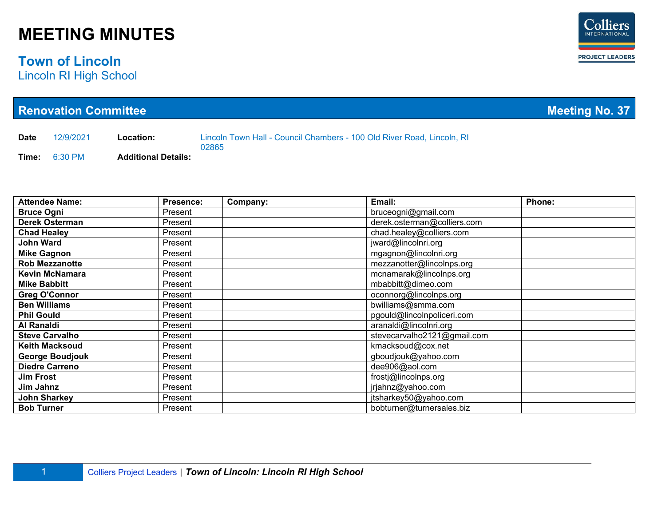### **Town of Lincoln**

Lincoln RI High School

| <b>Renovation Committee</b> |                        |                            |           |          |                                                                        | <b>Meeting No. 37</b>       |        |  |
|-----------------------------|------------------------|----------------------------|-----------|----------|------------------------------------------------------------------------|-----------------------------|--------|--|
| <b>Date</b>                 | 12/9/2021              | Location:                  | 02865     |          | Lincoln Town Hall - Council Chambers - 100 Old River Road, Lincoln, RI |                             |        |  |
| Time:                       | 6:30 PM                | <b>Additional Details:</b> |           |          |                                                                        |                             |        |  |
|                             |                        |                            |           |          |                                                                        |                             |        |  |
|                             | <b>Attendee Name:</b>  |                            | Presence: | Company: | Email:                                                                 |                             | Phone: |  |
| <b>Bruce Ogni</b>           |                        |                            | Present   |          | bruceogni@gmail.com                                                    |                             |        |  |
|                             | <b>Derek Osterman</b>  |                            | Present   |          |                                                                        | derek.osterman@colliers.com |        |  |
| <b>Chad Healey</b>          |                        |                            | Present   |          | chad.healey@colliers.com                                               |                             |        |  |
| <b>John Ward</b>            |                        |                            | Present   |          | jward@lincolnri.org                                                    |                             |        |  |
| <b>Mike Gagnon</b>          |                        |                            | Present   |          | mgagnon@lincolnri.org                                                  |                             |        |  |
|                             | <b>Rob Mezzanotte</b>  |                            | Present   |          | mezzanotter@lincolnps.org                                              |                             |        |  |
|                             | <b>Kevin McNamara</b>  |                            | Present   |          | mcnamarak@lincolnps.org                                                |                             |        |  |
| <b>Mike Babbitt</b>         |                        |                            | Present   |          | mbabbitt@dimeo.com                                                     |                             |        |  |
|                             | <b>Greg O'Connor</b>   |                            | Present   |          | oconnorg@lincolnps.org                                                 |                             |        |  |
| <b>Ben Williams</b>         |                        |                            | Present   |          | bwilliams@smma.com                                                     |                             |        |  |
| <b>Phil Gould</b>           |                        |                            | Present   |          | pgould@lincoInpoliceri.com                                             |                             |        |  |
| <b>Al Ranaldi</b>           |                        |                            | Present   |          | aranaldi@lincolnri.org                                                 |                             |        |  |
|                             | <b>Steve Carvalho</b>  |                            | Present   |          |                                                                        | stevecarvalho2121@gmail.com |        |  |
|                             | <b>Keith Macksoud</b>  |                            | Present   |          | kmacksoud@cox.net                                                      |                             |        |  |
|                             | <b>George Boudjouk</b> |                            | Present   |          | gboudjouk@yahoo.com                                                    |                             |        |  |
|                             | <b>Diedre Carreno</b>  |                            | Present   |          | dee906@aol.com                                                         |                             |        |  |
| <b>Jim Frost</b>            |                        |                            | Present   |          | frostj@lincolnps.org                                                   |                             |        |  |
| Jim Jahnz                   |                        |                            | Present   |          | jrjahnz@yahoo.com                                                      |                             |        |  |
| John Sharkey                |                        |                            | Present   |          | jtsharkey50@yahoo.com                                                  |                             |        |  |
| <b>Bob Turner</b>           |                        |                            | Present   |          | bobturner@turnersales.biz                                              |                             |        |  |

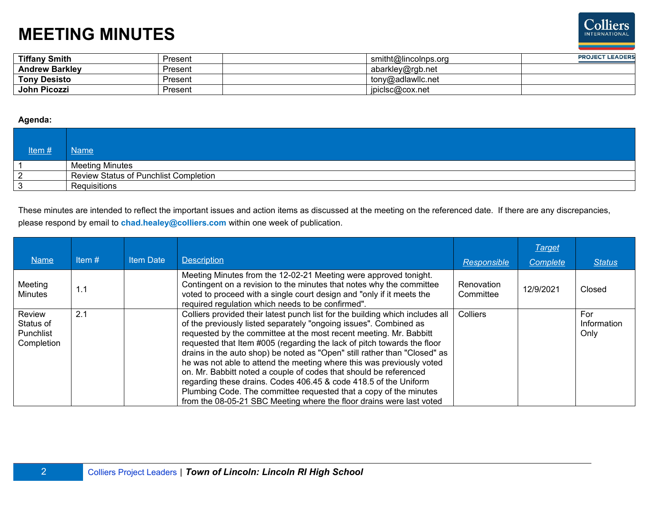

| <b>Tiffany Smith</b>  | Present | smitht@lincolnps.org | <b>PROJECT LEADERS</b> |
|-----------------------|---------|----------------------|------------------------|
| <b>Andrew Barkley</b> | Present | abarkley@rgb.net     |                        |
| <b>Tony Desisto</b>   | Present | tony@adlawllc.net    |                        |
| John Picozzi          | Present | jpiclsc@cox.net      |                        |

#### **Agenda:**

| Item# | Name                                  |
|-------|---------------------------------------|
|       | <b>Meeting Minutes</b>                |
| 2     | Review Status of Punchlist Completion |
| 3     | Requisitions                          |

These minutes are intended to reflect the important issues and action items as discussed at the meeting on the referenced date. If there are any discrepancies, please respond by email to **chad.healey@colliers.com** within one week of publication.

| <b>Name</b>                                    | Item $#$ | <b>Item Date</b> | <b>Description</b>                                                                                                                                                                                                                                                                                                                                                                                                                                                                                                                                                                                                                                                                                                                              | Responsible             | <b>Target</b><br>Complete | <b>Status</b>              |
|------------------------------------------------|----------|------------------|-------------------------------------------------------------------------------------------------------------------------------------------------------------------------------------------------------------------------------------------------------------------------------------------------------------------------------------------------------------------------------------------------------------------------------------------------------------------------------------------------------------------------------------------------------------------------------------------------------------------------------------------------------------------------------------------------------------------------------------------------|-------------------------|---------------------------|----------------------------|
|                                                |          |                  |                                                                                                                                                                                                                                                                                                                                                                                                                                                                                                                                                                                                                                                                                                                                                 |                         |                           |                            |
| Meeting<br><b>Minutes</b>                      | 1.1      |                  | Meeting Minutes from the 12-02-21 Meeting were approved tonight.<br>Contingent on a revision to the minutes that notes why the committee<br>voted to proceed with a single court design and "only if it meets the<br>required regulation which needs to be confirmed".                                                                                                                                                                                                                                                                                                                                                                                                                                                                          | Renovation<br>Committee | 12/9/2021                 | Closed                     |
| Review<br>Status of<br>Punchlist<br>Completion | 2.1      |                  | Colliers provided their latest punch list for the building which includes all<br>of the previously listed separately "ongoing issues". Combined as<br>requested by the committee at the most recent meeting. Mr. Babbitt<br>requested that Item #005 (regarding the lack of pitch towards the floor<br>drains in the auto shop) be noted as "Open" still rather than "Closed" as<br>he was not able to attend the meeting where this was previously voted<br>on. Mr. Babbitt noted a couple of codes that should be referenced<br>regarding these drains. Codes 406.45 & code 418.5 of the Uniform<br>Plumbing Code. The committee requested that a copy of the minutes<br>from the 08-05-21 SBC Meeting where the floor drains were last voted | Colliers                |                           | For<br>Information<br>Only |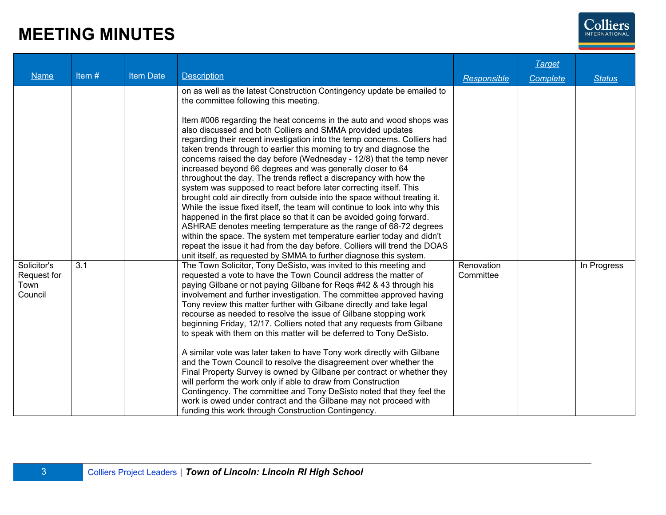

| <b>Name</b>                                   | Item# | <b>Item Date</b> | <b>Description</b>                                                                                                                                                                                                                                                                                                                                                                                                                                                                                                                                                                                                                                                                                                                                                                                                                                                                                                                                                                                                                                                                                                                                                                                                              | Responsible             | Target<br>Complete | <b>Status</b> |
|-----------------------------------------------|-------|------------------|---------------------------------------------------------------------------------------------------------------------------------------------------------------------------------------------------------------------------------------------------------------------------------------------------------------------------------------------------------------------------------------------------------------------------------------------------------------------------------------------------------------------------------------------------------------------------------------------------------------------------------------------------------------------------------------------------------------------------------------------------------------------------------------------------------------------------------------------------------------------------------------------------------------------------------------------------------------------------------------------------------------------------------------------------------------------------------------------------------------------------------------------------------------------------------------------------------------------------------|-------------------------|--------------------|---------------|
|                                               |       |                  | on as well as the latest Construction Contingency update be emailed to<br>the committee following this meeting.<br>Item #006 regarding the heat concerns in the auto and wood shops was<br>also discussed and both Colliers and SMMA provided updates<br>regarding their recent investigation into the temp concerns. Colliers had<br>taken trends through to earlier this morning to try and diagnose the<br>concerns raised the day before (Wednesday - 12/8) that the temp never<br>increased beyond 66 degrees and was generally closer to 64<br>throughout the day. The trends reflect a discrepancy with how the<br>system was supposed to react before later correcting itself. This<br>brought cold air directly from outside into the space without treating it.<br>While the issue fixed itself, the team will continue to look into why this<br>happened in the first place so that it can be avoided going forward.<br>ASHRAE denotes meeting temperature as the range of 68-72 degrees<br>within the space. The system met temperature earlier today and didn't<br>repeat the issue it had from the day before. Colliers will trend the DOAS<br>unit itself, as requested by SMMA to further diagnose this system. |                         |                    |               |
| Solicitor's<br>Request for<br>Town<br>Council | 3.1   |                  | The Town Solicitor, Tony DeSisto, was invited to this meeting and<br>requested a vote to have the Town Council address the matter of<br>paying Gilbane or not paying Gilbane for Reqs #42 & 43 through his<br>involvement and further investigation. The committee approved having<br>Tony review this matter further with Gilbane directly and take legal<br>recourse as needed to resolve the issue of Gilbane stopping work<br>beginning Friday, 12/17. Colliers noted that any requests from Gilbane<br>to speak with them on this matter will be deferred to Tony DeSisto.<br>A similar vote was later taken to have Tony work directly with Gilbane<br>and the Town Council to resolve the disagreement over whether the<br>Final Property Survey is owned by Gilbane per contract or whether they<br>will perform the work only if able to draw from Construction<br>Contingency. The committee and Tony DeSisto noted that they feel the<br>work is owed under contract and the Gilbane may not proceed with<br>funding this work through Construction Contingency.                                                                                                                                                     | Renovation<br>Committee |                    | In Progress   |